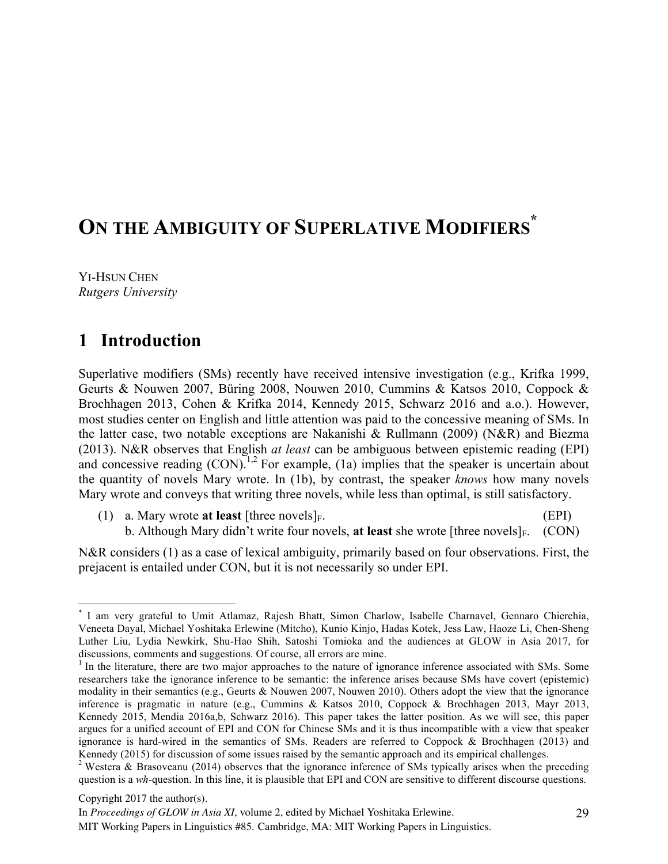# **ON THE AMBIGUITY OF SUPERLATIVE MODIFIERS \***

YI-HSUN CHEN *Rutgers University*

## **1** Introduction

Superlative modifiers (SMs) recently have received intensive investigation (e.g., Krifka 1999, Geurts & Nouwen 2007, Büring 2008, Nouwen 2010, Cummins & Katsos 2010, Coppock & Brochhagen 2013, Cohen & Krifka 2014, Kennedy 2015, Schwarz 2016 and a.o.). However, most studies center on English and little attention was paid to the concessive meaning of SMs. In the latter case, two notable exceptions are Nakanishi & Rullmann (2009) (N&R) and Biezma (2013). N&R observes that English *at least* can be ambiguous between epistemic reading (EPI) and concessive reading  $(CON)^{1,2}$  For example, (1a) implies that the speaker is uncertain about the quantity of novels Mary wrote. In (1b), by contrast, the speaker *knows* how many novels Mary wrote and conveys that writing three novels, while less than optimal, is still satisfactory.

(1) a. Mary wrote **at least** [three novels]<sub>F</sub>. (EPI) b. Although Mary didn't write four novels, at least she wrote [three novels]<sub>F.</sub> (CON)

N&R considers (1) as a case of lexical ambiguity, primarily based on four observations. First, the prejacent is entailed under CON, but it is not necessarily so under EPI.

Copyright 2017 the author(s).

 <sup>\*</sup> I am very grateful to Umit Atlamaz, Rajesh Bhatt, Simon Charlow, Isabelle Charnavel, Gennaro Chierchia, Veneeta Dayal, Michael Yoshitaka Erlewine (Mitcho), Kunio Kinjo, Hadas Kotek, Jess Law, Haoze Li, Chen-Sheng Luther Liu, Lydia Newkirk, Shu-Hao Shih, Satoshi Tomioka and the audiences at GLOW in Asia 2017, for discussions, comments and suggestions. Of course, all errors are mine.<br><sup>1</sup> In the literature, there are two major approaches to the nature of ignorance inference associated with SMs. Some

researchers take the ignorance inference to be semantic: the inference arises because SMs have covert (epistemic) modality in their semantics (e.g., Geurts & Nouwen 2007, Nouwen 2010). Others adopt the view that the ignorance inference is pragmatic in nature (e.g., Cummins & Katsos 2010, Coppock & Brochhagen 2013, Mayr 2013, Kennedy 2015, Mendia 2016a,b, Schwarz 2016). This paper takes the latter position. As we will see, this paper argues for a unified account of EPI and CON for Chinese SMs and it is thus incompatible with a view that speaker ignorance is hard-wired in the semantics of SMs. Readers are referred to Coppock & Brochhagen (2013) and Kennedy (2015) for discussion of some issues raised by the semantic approach and its empirical challenges.

<sup>&</sup>lt;sup>2</sup> Westera & Brasoveanu (2014) observes that the ignorance inference of SMs typically arises when the preceding question is a *wh*-question. In this line, it is plausible that EPI and CON are sensitive to different discourse questions.

In *Proceedings of GLOW in Asia XI*, volume 2, edited by Michael Yoshitaka Erlewine.

MIT Working Papers in Linguistics #85. Cambridge, MA: MIT Working Papers in Linguistics.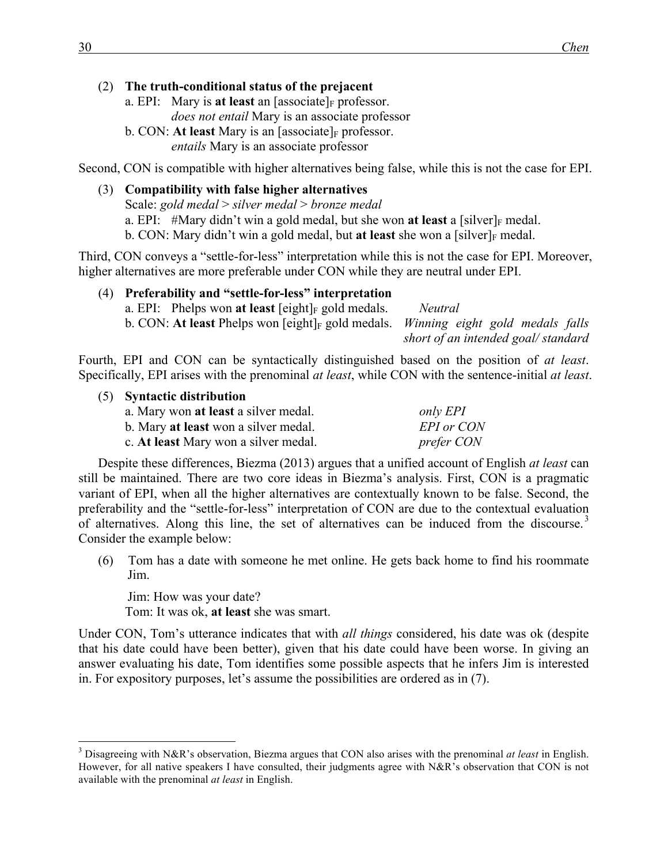#### (2) **The truth-conditional status of the prejacent**

- a. EPI: Mary is **at least** an [associate] $_F$  professor. *does not entail* Mary is an associate professor b. CON: At least Mary is an  $[$ associate $]_F$  professor.
	- *entails* Mary is an associate professor

Second, CON is compatible with higher alternatives being false, while this is not the case for EPI.

(3) **Compatibility with false higher alternatives** Scale: *gold medal* > *silver medal* > *bronze medal* a. EPI: #Mary didn't win a gold medal, but she won **at least** a [silver] $_F$  medal. b. CON: Mary didn't win a gold medal, but **at least** she won a [silver] $_F$  medal.

Third, CON conveys a "settle-for-less" interpretation while this is not the case for EPI. Moreover, higher alternatives are more preferable under CON while they are neutral under EPI.

| (4) Preferability and "settle-for-less" interpretation                                        |                                    |
|-----------------------------------------------------------------------------------------------|------------------------------------|
| a. EPI: Phelps won at least $\lceil$ eight $\rceil$ <sub>F</sub> gold medals.                 | Neutral                            |
| b. CON: At least Phelps won [eight] <sub>F</sub> gold medals. Winning eight gold medals falls |                                    |
|                                                                                               | short of an intended goal/standard |

Fourth, EPI and CON can be syntactically distinguished based on the position of *at least*. Specifically, EPI arises with the prenominal *at least*, while CON with the sentence-initial *at least*.

(5) **Syntactic distribution** a. Mary won **at least** a silver medal. *only EPI* b. Mary **at least** won a silver medal. *EPI or CON* c. **At least** Mary won a silver medal. *prefer CON*

Despite these differences, Biezma (2013) argues that a unified account of English *at least* can still be maintained. There are two core ideas in Biezma's analysis. First, CON is a pragmatic variant of EPI, when all the higher alternatives are contextually known to be false. Second, the preferability and the "settle-for-less" interpretation of CON are due to the contextual evaluation of alternatives. Along this line, the set of alternatives can be induced from the discourse.<sup>3</sup> Consider the example below:

(6) Tom has a date with someone he met online. He gets back home to find his roommate Jim.

Jim: How was your date? Tom: It was ok, **at least** she was smart.

Under CON, Tom's utterance indicates that with *all things* considered, his date was ok (despite that his date could have been better), given that his date could have been worse. In giving an answer evaluating his date, Tom identifies some possible aspects that he infers Jim is interested in. For expository purposes, let's assume the possibilities are ordered as in (7).

 <sup>3</sup> Disagreeing with N&R's observation, Biezma argues that CON also arises with the prenominal *at least* in English. However, for all native speakers I have consulted, their judgments agree with N&R's observation that CON is not available with the prenominal *at least* in English.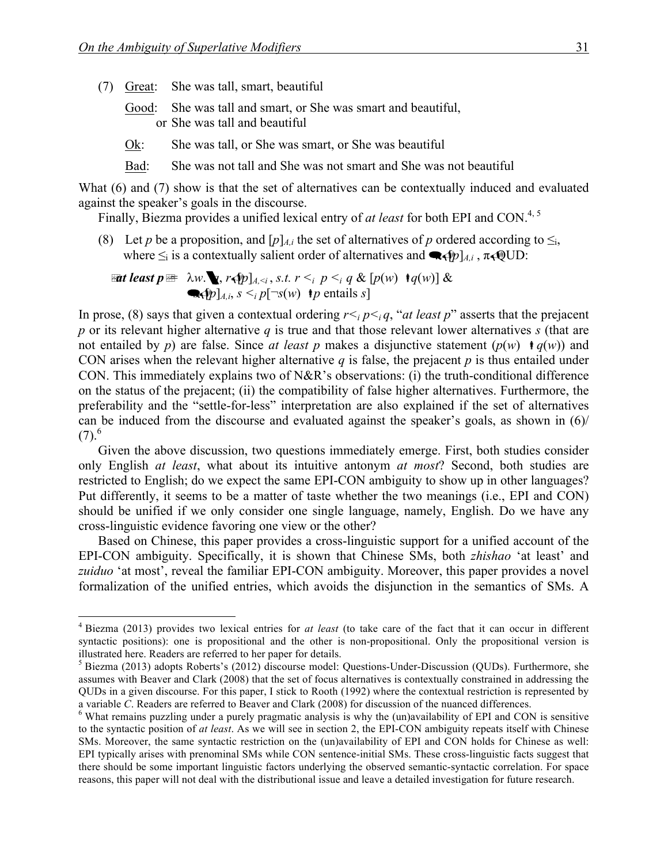- (7) Great: She was tall, smart, beautiful
	- Good: She was tall and smart, or She was smart and beautiful, or She was tall and beautiful
	- Ok: She was tall, or She was smart, or She was beautiful
	- Bad: She was not tall and She was not smart and She was not beautiful

What (6) and (7) show is that the set of alternatives can be contextually induced and evaluated against the speaker's goals in the discourse.

Finally, Biezma provides a unified lexical entry of *at least* for both EPI and CON.<sup>4, 5</sup>

(8) Let *p* be a proposition, and  $[p]_{A,i}$  the set of alternatives of *p* ordered according to  $\leq_i$ , where  $\leq_i$  is a contextually salient order of alternatives and  $\blacktriangleleft(p]_{A,i}$ ,  $\pi \triangleleft QUD$ :

**Let least** 
$$
p \equiv \lambda w
$$
.  $\mathbf{y}, r \leq p \leq i, s.t. r \leq i, p \leq i, q \& [p(w) \cdot q(w)] \&$   
 $\mathbf{y} \in [p]_{A,i}, s \leq i, p[\neg s(w) \cdot p \text{ entails } s]$ 

In prose, (8) says that given a contextual ordering  $r \leq_i p \leq_i q$ , "*at least p*" asserts that the prejacent *p* or its relevant higher alternative *q* is true and that those relevant lower alternatives *s* (that are not entailed by *p*) are false. Since *at least p* makes a disjunctive statement  $(p(w) \mid q(w))$  and CON arises when the relevant higher alternative  $q$  is false, the prejacent  $p$  is thus entailed under CON. This immediately explains two of N&R's observations: (i) the truth-conditional difference on the status of the prejacent; (ii) the compatibility of false higher alternatives. Furthermore, the preferability and the "settle-for-less" interpretation are also explained if the set of alternatives can be induced from the discourse and evaluated against the speaker's goals, as shown in (6)/  $(7).^6$ 

Given the above discussion, two questions immediately emerge. First, both studies consider only English *at least*, what about its intuitive antonym *at most*? Second, both studies are restricted to English; do we expect the same EPI-CON ambiguity to show up in other languages? Put differently, it seems to be a matter of taste whether the two meanings (i.e., EPI and CON) should be unified if we only consider one single language, namely, English. Do we have any cross-linguistic evidence favoring one view or the other?

Based on Chinese, this paper provides a cross-linguistic support for a unified account of the EPI-CON ambiguity. Specifically, it is shown that Chinese SMs, both *zhishao* 'at least' and *zuiduo* 'at most', reveal the familiar EPI-CON ambiguity. Moreover, this paper provides a novel formalization of the unified entries, which avoids the disjunction in the semantics of SMs. A

 <sup>4</sup> Biezma (2013) provides two lexical entries for *at least* (to take care of the fact that it can occur in different syntactic positions): one is propositional and the other is non-propositional. Only the propositional version is illustrated here. Readers are referred to her paper for details.<br><sup>5</sup> Biezma (2013) adopts Roberts's (2012) discourse model: Questions-Under-Discussion (QUDs). Furthermore, she

assumes with Beaver and Clark (2008) that the set of focus alternatives is contextually constrained in addressing the QUDs in a given discourse. For this paper, I stick to Rooth (1992) where the contextual restriction is represented by a variable C. Readers are referred to Beaver and Clark (2008) for discussion of the nuanced differences.<br><sup>6</sup> What remains puzzling under a purely pragmatic analysis is why the (un)availability of EPI and CON is sensitive

to the syntactic position of *at least*. As we will see in section 2, the EPI-CON ambiguity repeats itself with Chinese SMs. Moreover, the same syntactic restriction on the (un)availability of EPI and CON holds for Chinese as well: EPI typically arises with prenominal SMs while CON sentence-initial SMs. These cross-linguistic facts suggest that there should be some important linguistic factors underlying the observed semantic-syntactic correlation. For space reasons, this paper will not deal with the distributional issue and leave a detailed investigation for future research.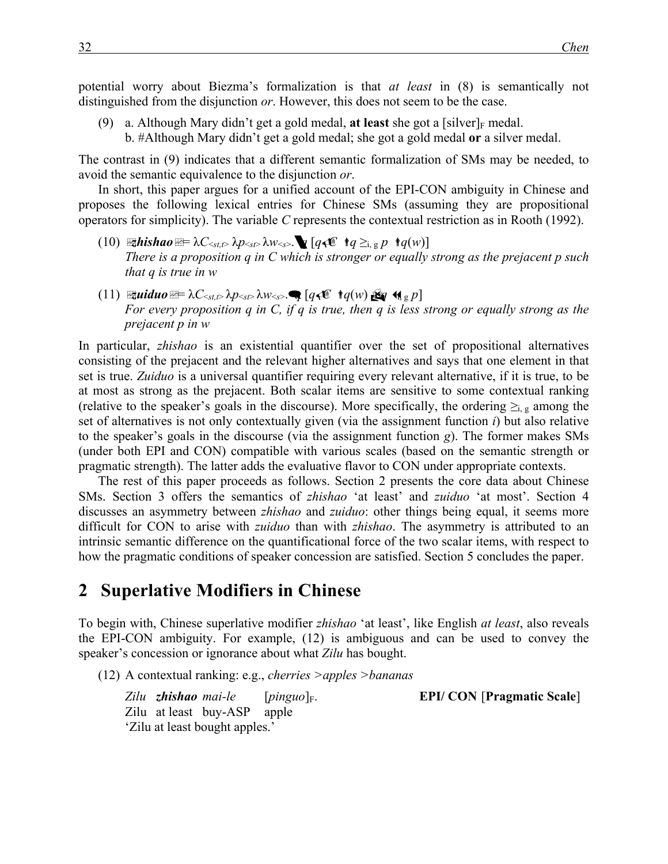potential worry about Biezma's formalization is that *at least* in (8) is semantically not distinguished from the disjunction *or*. However, this does not seem to be the case.

- (9) a. Although Mary didn't get a gold medal, **at least** she got a [silver]<sub>F</sub> medal.
	- b. #Although Mary didn't get a gold medal; she got a gold medal **or** a silver medal.

The contrast in (9) indicates that a different semantic formalization of SMs may be needed, to avoid the semantic equivalence to the disjunction *or*.

In short, this paper argues for a unified account of the EPI-CON ambiguity in Chinese and proposes the following lexical entries for Chinese SMs (assuming they are propositional operators for simplicity). The variable *C* represents the contextual restriction as in Rooth (1992).

- $(10)$  *Ethishao*=  $\lambda C_{\leq t, t}$   $\lambda p_{\leq s}$   $\lambda w_{\leq s}$ .  $\bf{Q}$  [ $q \in \mathbb{C}$  *t* $q \geq_{i, g} p$  *t* $q(w)$ ] *There is a proposition q in C which is stronger or equally strong as the prejacent p such that q is true in w*
- $(11)$  *zuiduo* $\mathbb{Z}^{\pm} \lambda C_{\leq st, t} \lambda p_{\leq st} \lambda w_{\leq s}$ .  $[q \infty \ \dot{q}(w) \mathbb{Z} q \ \dot{q}_{\leq p}]$ *For every proposition q in C, if q is true, then q is less strong or equally strong as the prejacent p in w*

In particular, *zhishao* is an existential quantifier over the set of propositional alternatives consisting of the prejacent and the relevant higher alternatives and says that one element in that set is true. *Zuiduo* is a universal quantifier requiring every relevant alternative, if it is true, to be at most as strong as the prejacent. Both scalar items are sensitive to some contextual ranking (relative to the speaker's goals in the discourse). More specifically, the ordering  $\geq_{i,g}$  among the set of alternatives is not only contextually given (via the assignment function *i*) but also relative to the speaker's goals in the discourse (via the assignment function *g*). The former makes SMs (under both EPI and CON) compatible with various scales (based on the semantic strength or pragmatic strength). The latter adds the evaluative flavor to CON under appropriate contexts.

The rest of this paper proceeds as follows. Section 2 presents the core data about Chinese SMs. Section 3 offers the semantics of *zhishao* 'at least' and *zuiduo* 'at most'. Section 4 discusses an asymmetry between *zhishao* and *zuiduo*: other things being equal, it seems more difficult for CON to arise with *zuiduo* than with *zhishao*. The asymmetry is attributed to an intrinsic semantic difference on the quantificational force of the two scalar items, with respect to how the pragmatic conditions of speaker concession are satisfied. Section 5 concludes the paper.

#### **2** Superlative Modifiers in Chinese

To begin with, Chinese superlative modifier *zhishao* 'at least', like English *at least*, also reveals the EPI-CON ambiguity. For example, (12) is ambiguous and can be used to convey the speaker's concession or ignorance about what *Zilu* has bought.

(12) A contextual ranking: e.g., *cherries >apples >bananas*

*Zilu zhishao mai-le* [*pinguo*]F. **EPI/ CON** [**Pragmatic Scale**] Zilu at least buy-ASP apple 'Zilu at least bought apples.'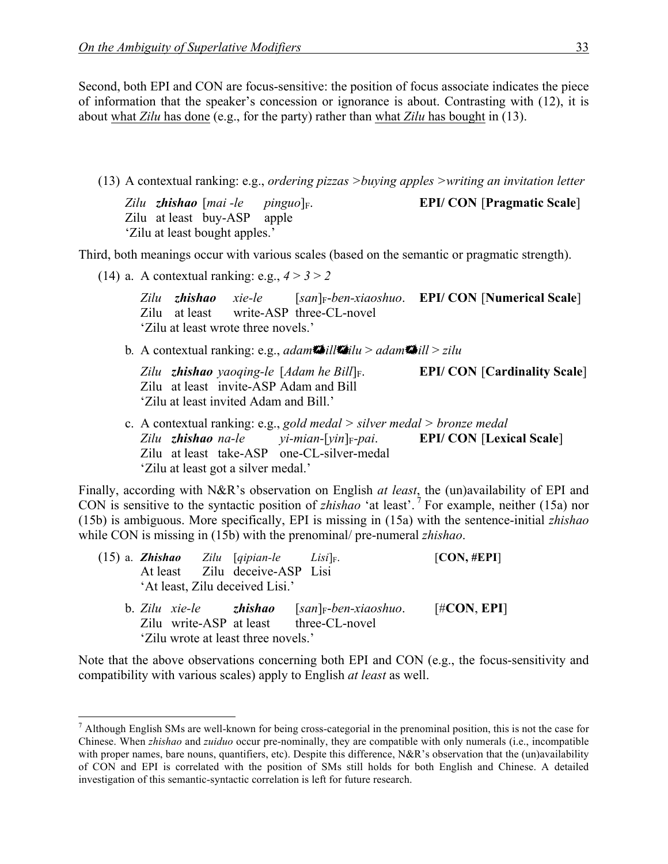Second, both EPI and CON are focus-sensitive: the position of focus associate indicates the piece of information that the speaker's concession or ignorance is about. Contrasting with (12), it is about what *Zilu* has done (e.g., for the party) rather than what *Zilu* has bought in (13).

(13) A contextual ranking: e.g., *ordering pizzas >buying apples >writing an invitation letter*

*Zilu zhishao* [*mai -le pinguo*]F. **EPI/ CON** [**Pragmatic Scale**] Zilu at least buy-ASP apple 'Zilu at least bought apples.'

Third, both meanings occur with various scales (based on the semantic or pragmatic strength).

(14) a. A contextual ranking: e.g.,  $4 > 3 > 2$ 

*Zilu zhishao xie-le* [*san*]F-*ben-xiaoshuo*. **EPI/ CON** [**Numerical Scale**] Zilu at least write-ASP three-CL-novel 'Zilu at least wrote three novels.'

b*.* A contextual ranking: e.g., *adam*+*bill*+*zilu* > *adam*+*bill* > *zilu*

*Zilu zhishao yaoqing-le* [*Adam he Bill*]F. **EPI/ CON** [**Cardinality Scale**] Zilu at least invite-ASP Adam and Bill 'Zilu at least invited Adam and Bill.'

c. A contextual ranking: e.g., *gold medal > silver medal > bronze medal Zilu zhishao na-le yi-mian-*[*yin*]F*-pai*. **EPI/ CON** [**Lexical Scale**] Zilu at least take-ASP one-CL-silver-medal 'Zilu at least got a silver medal.'

Finally, according with N&R's observation on English *at least*, the (un)availability of EPI and CON is sensitive to the syntactic position of *zhishao* 'at least'. <sup>7</sup> For example, neither (15a) nor (15b) is ambiguous. More specifically, EPI is missing in (15a) with the sentence-initial *zhishao*  while CON is missing in (15b) with the prenominal/ pre-numeral *zhishao*.

|                                                   | $(15)$ a. <b>Zhishao</b> Zilu [qipian-le Lisi] <sub>F</sub> .<br>At least Zilu deceive-ASP Lisi<br>'At least, Zilu deceived Lisi.' |                                                         | [CON, #EPI]    |
|---------------------------------------------------|------------------------------------------------------------------------------------------------------------------------------------|---------------------------------------------------------|----------------|
| b. Zilu xie-le zhishao<br>Zilu write-ASP at least |                                                                                                                                    | $[san]_F\text{-}ben\text{-}xiaoshuo.$<br>three-CL-novel | $[\#CON, EPI]$ |

'Zilu wrote at least three novels.' Note that the above observations concerning both EPI and CON (e.g., the focus-sensitivity and compatibility with various scales) apply to English *at least* as well.

 <sup>7</sup> Although English SMs are well-known for being cross-categorial in the prenominal position, this is not the case for Chinese. When *zhishao* and *zuiduo* occur pre-nominally, they are compatible with only numerals (i.e., incompatible with proper names, bare nouns, quantifiers, etc). Despite this difference, N&R's observation that the (un)availability of CON and EPI is correlated with the position of SMs still holds for both English and Chinese. A detailed investigation of this semantic-syntactic correlation is left for future research.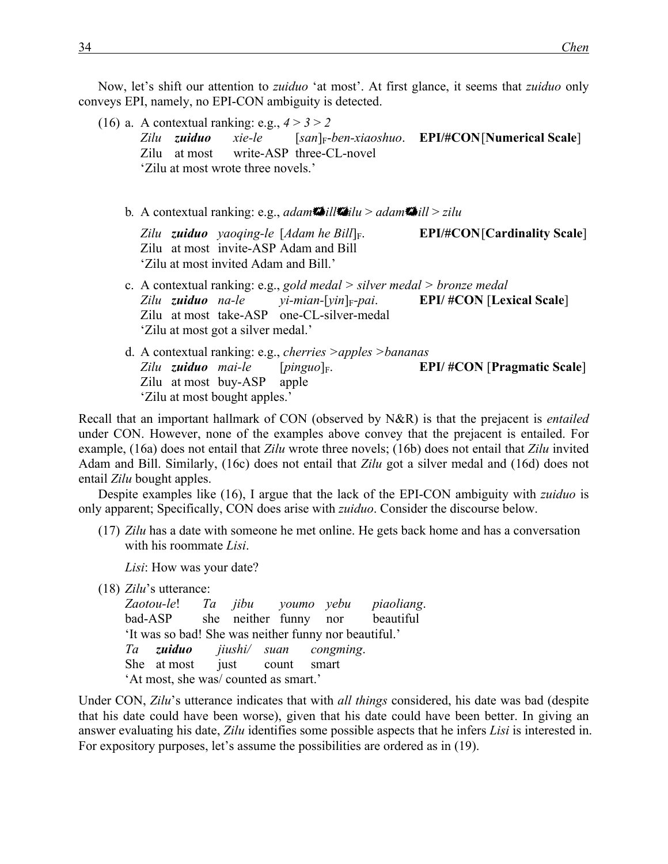Now, let's shift our attention to *zuiduo* 'at most'. At first glance, it seems that *zuiduo* only conveys EPI, namely, no EPI-CON ambiguity is detected.

(16) a. A contextual ranking: e.g.,  $4 > 3 > 2$ *Zilu zuiduo xie-le* [*san*]F-*ben-xiaoshuo*. **EPI/#CON**[**Numerical Scale**] Zilu at most write-ASP three-CL-novel 'Zilu at most wrote three novels.' b*.* A contextual ranking: e.g., *adam*+*bill*+*zilu* > *adam*+*bill* > *zilu Zilu zuiduo yaoqing-le* [*Adam he Bill*]F. **EPI/#CON**[**Cardinality Scale**] Zilu at most invite-ASP Adam and Bill

'Zilu at most invited Adam and Bill.'

- c. A contextual ranking: e.g., *gold medal > silver medal > bronze medal Zilu zuiduo na-le yi-mian-*[*yin*]F*-pai*. **EPI/ #CON** [**Lexical Scale**] Zilu at most take-ASP one-CL-silver-medal 'Zilu at most got a silver medal.'
- d. A contextual ranking: e.g., *cherries >apples >bananas Zilu zuiduo mai-le* [*pinguo*]F. **EPI/ #CON** [**Pragmatic Scale**] Zilu at most buy-ASP apple 'Zilu at most bought apples.'

Recall that an important hallmark of CON (observed by N&R) is that the prejacent is *entailed* under CON. However, none of the examples above convey that the prejacent is entailed. For example, (16a) does not entail that *Zilu* wrote three novels; (16b) does not entail that *Zilu* invited Adam and Bill. Similarly, (16c) does not entail that *Zilu* got a silver medal and (16d) does not entail *Zilu* bought apples.

Despite examples like (16), I argue that the lack of the EPI-CON ambiguity with *zuiduo* is only apparent; Specifically, CON does arise with *zuiduo*. Consider the discourse below.

(17) *Zilu* has a date with someone he met online. He gets back home and has a conversation with his roommate *Lisi*.

*Lisi*: How was your date?

(18) *Zilu*'s utterance:

*Zaotou-le*! *Ta jibu youmo yebu piaoliang*. bad-ASP she neither funny nor beautiful 'It was so bad! She was neither funny nor beautiful.' *Ta zuiduo jiushi/ suan congming*. She at most just count smart 'At most, she was/ counted as smart.'

Under CON, *Zilu*'s utterance indicates that with *all things* considered, his date was bad (despite that his date could have been worse), given that his date could have been better. In giving an answer evaluating his date, *Zilu* identifies some possible aspects that he infers *Lisi* is interested in. For expository purposes, let's assume the possibilities are ordered as in (19).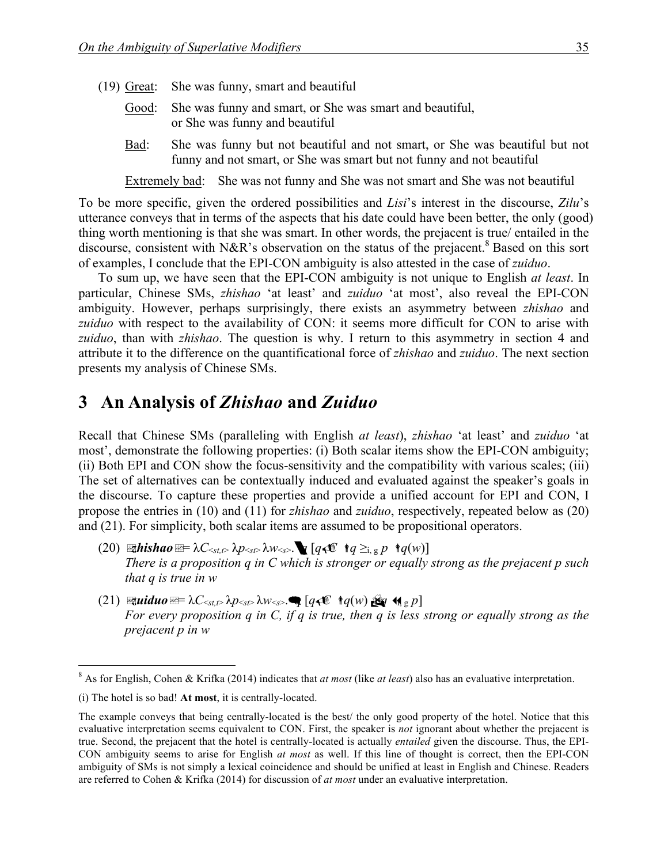- (19) Great: She was funny, smart and beautiful
	- Good: She was funny and smart, or She was smart and beautiful, or She was funny and beautiful
	- Bad: She was funny but not beautiful and not smart, or She was beautiful but not funny and not smart, or She was smart but not funny and not beautiful

Extremely bad: She was not funny and She was not smart and She was not beautiful

To be more specific, given the ordered possibilities and *Lisi*'s interest in the discourse, *Zilu*'s utterance conveys that in terms of the aspects that his date could have been better, the only (good) thing worth mentioning is that she was smart. In other words, the prejacent is true/ entailed in the discourse, consistent with N&R's observation on the status of the prejacent.<sup>8</sup> Based on this sort of examples, I conclude that the EPI-CON ambiguity is also attested in the case of *zuiduo*.

To sum up, we have seen that the EPI-CON ambiguity is not unique to English *at least*. In particular, Chinese SMs, *zhishao* 'at least' and *zuiduo* 'at most', also reveal the EPI-CON ambiguity. However, perhaps surprisingly, there exists an asymmetry between *zhishao* and *zuiduo* with respect to the availability of CON: it seems more difficult for CON to arise with *zuiduo*, than with *zhishao*. The question is why. I return to this asymmetry in section 4 and attribute it to the difference on the quantificational force of *zhishao* and *zuiduo*. The next section presents my analysis of Chinese SMs.

### **3**xx**An Analysis of** *Zhishao* **and** *Zuiduo*

Recall that Chinese SMs (paralleling with English *at least*), *zhishao* 'at least' and *zuiduo* 'at most', demonstrate the following properties: (i) Both scalar items show the EPI-CON ambiguity; (ii) Both EPI and CON show the focus-sensitivity and the compatibility with various scales; (iii) The set of alternatives can be contextually induced and evaluated against the speaker's goals in the discourse. To capture these properties and provide a unified account for EPI and CON, I propose the entries in (10) and (11) for *zhishao* and *zuiduo*, respectively, repeated below as (20) and (21). For simplicity, both scalar items are assumed to be propositional operators.

- $(20)$  **zhishao** $\mathbb{E} = \lambda C_{\leq st, t} \lambda p_{\leq s} \lambda w_{\leq s}$ .  $\mathbf{Q} [q \cdot \mathbb{E} \mid q \geq_{i, g} p \cdot q(w)]$ *There is a proposition q in C which is stronger or equally strong as the prejacent p such that q is true in w*
- $(21)$  **Equiduo**  $\mathbb{E} = \lambda C_{\leq st,\mathcal{D}} \lambda p_{\leq s\mathcal{D}} \lambda w_{\leq s}$ .  $q \in [q \in \mathbb{C} \mid q(w) \log q \leq q \log p$ *For every proposition q in C, if q is true, then q is less strong or equally strong as the prejacent p in w*

 <sup>8</sup> As for English, Cohen & Krifka (2014) indicates that *at most* (like *at least*) also has an evaluative interpretation.

<sup>(</sup>i) The hotel is so bad! **At most**, it is centrally-located.

The example conveys that being centrally-located is the best/ the only good property of the hotel. Notice that this evaluative interpretation seems equivalent to CON. First, the speaker is *not* ignorant about whether the prejacent is true. Second, the prejacent that the hotel is centrally-located is actually *entailed* given the discourse. Thus, the EPI-CON ambiguity seems to arise for English *at most* as well. If this line of thought is correct, then the EPI-CON ambiguity of SMs is not simply a lexical coincidence and should be unified at least in English and Chinese. Readers are referred to Cohen & Krifka (2014) for discussion of *at most* under an evaluative interpretation.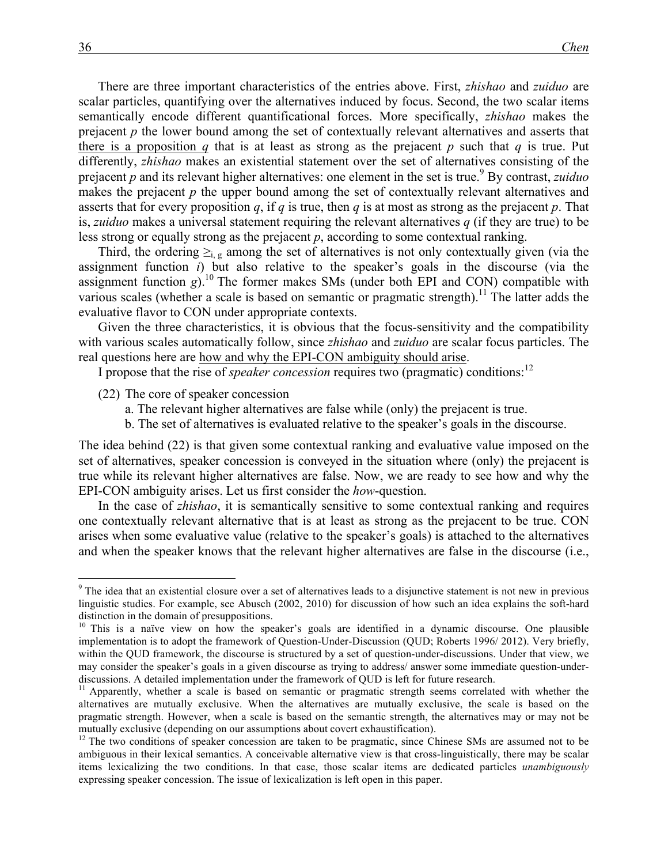There are three important characteristics of the entries above. First, *zhishao* and *zuiduo* are scalar particles, quantifying over the alternatives induced by focus. Second, the two scalar items semantically encode different quantificational forces. More specifically, *zhishao* makes the prejacent *p* the lower bound among the set of contextually relevant alternatives and asserts that there is a proposition *q* that is at least as strong as the prejacent *p* such that *q* is true. Put differently, *zhishao* makes an existential statement over the set of alternatives consisting of the prejacent *p* and its relevant higher alternatives: one element in the set is true.<sup>9</sup> By contrast, *zuiduo* makes the prejacent *p* the upper bound among the set of contextually relevant alternatives and asserts that for every proposition  $q$ , if  $q$  is true, then  $q$  is at most as strong as the prejacent  $p$ . That is, *zuiduo* makes a universal statement requiring the relevant alternatives *q* (if they are true) to be less strong or equally strong as the prejacent *p*, according to some contextual ranking.

Third, the ordering  $\geq_{i,g}$  among the set of alternatives is not only contextually given (via the assignment function *i*) but also relative to the speaker's goals in the discourse (via the assignment function  $g$ ).<sup>10</sup> The former makes SMs (under both EPI and CON) compatible with various scales (whether a scale is based on semantic or pragmatic strength).<sup>11</sup> The latter adds the evaluative flavor to CON under appropriate contexts.

Given the three characteristics, it is obvious that the focus-sensitivity and the compatibility with various scales automatically follow, since *zhishao* and *zuiduo* are scalar focus particles. The real questions here are how and why the EPI-CON ambiguity should arise.

I propose that the rise of *speaker concession* requires two (pragmatic) conditions: 12

- (22) The core of speaker concession
	- a. The relevant higher alternatives are false while (only) the prejacent is true.
	- b. The set of alternatives is evaluated relative to the speaker's goals in the discourse.

The idea behind (22) is that given some contextual ranking and evaluative value imposed on the set of alternatives, speaker concession is conveyed in the situation where (only) the prejacent is true while its relevant higher alternatives are false. Now, we are ready to see how and why the EPI-CON ambiguity arises. Let us first consider the *how*-question.

In the case of *zhishao*, it is semantically sensitive to some contextual ranking and requires one contextually relevant alternative that is at least as strong as the prejacent to be true. CON arises when some evaluative value (relative to the speaker's goals) is attached to the alternatives and when the speaker knows that the relevant higher alternatives are false in the discourse (i.e.,

<sup>&</sup>lt;sup>9</sup> The idea that an existential closure over a set of alternatives leads to a disjunctive statement is not new in previous linguistic studies. For example, see Abusch (2002, 2010) for discussion of how such an idea explains the soft-hard distinction in the domain of presuppositions.<br><sup>10</sup> This is a naïve view on how the speaker's goals are identified in a dynamic discourse. One plausible

implementation is to adopt the framework of Question-Under-Discussion (QUD; Roberts 1996/ 2012). Very briefly, within the QUD framework, the discourse is structured by a set of question-under-discussions. Under that view, we may consider the speaker's goals in a given discourse as trying to address/ answer some immediate question-underdiscussions. A detailed implementation under the framework of QUD is left for future research.<br><sup>11</sup> Apparently, whether a scale is based on semantic or pragmatic strength seems correlated with whether the

alternatives are mutually exclusive. When the alternatives are mutually exclusive, the scale is based on the pragmatic strength. However, when a scale is based on the semantic strength, the alternatives may or may not be mutually exclusive (depending on our assumptions about covert exhaustification).<br><sup>12</sup> The two conditions of speaker concession are taken to be pragmatic, since Chinese SMs are assumed not to be

ambiguous in their lexical semantics. A conceivable alternative view is that cross-linguistically, there may be scalar items lexicalizing the two conditions. In that case, those scalar items are dedicated particles *unambiguously* expressing speaker concession. The issue of lexicalization is left open in this paper.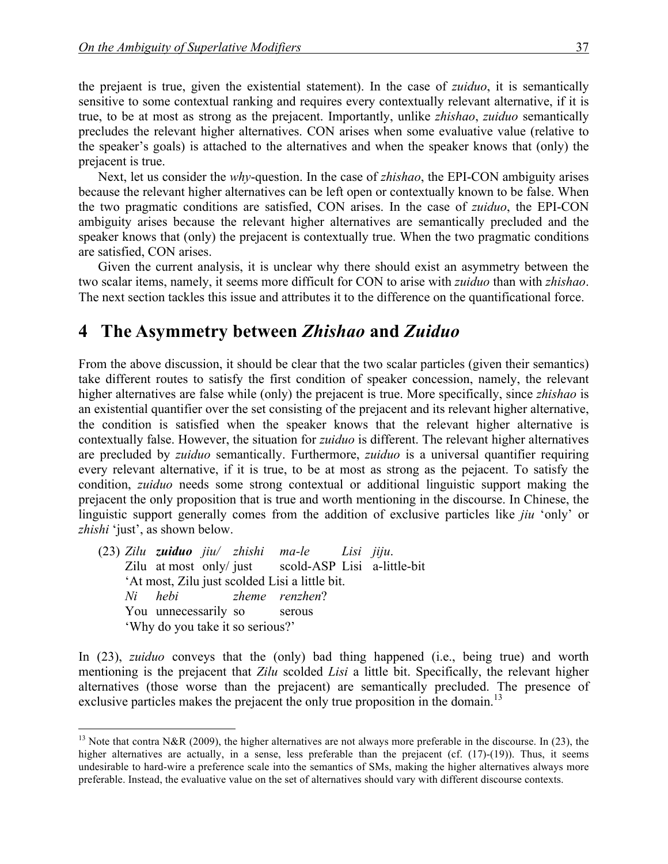the prejaent is true, given the existential statement). In the case of *zuiduo*, it is semantically sensitive to some contextual ranking and requires every contextually relevant alternative, if it is true, to be at most as strong as the prejacent. Importantly, unlike *zhishao*, *zuiduo* semantically precludes the relevant higher alternatives. CON arises when some evaluative value (relative to the speaker's goals) is attached to the alternatives and when the speaker knows that (only) the prejacent is true.

Next, let us consider the *why*-question. In the case of *zhishao*, the EPI-CON ambiguity arises because the relevant higher alternatives can be left open or contextually known to be false. When the two pragmatic conditions are satisfied, CON arises. In the case of *zuiduo*, the EPI-CON ambiguity arises because the relevant higher alternatives are semantically precluded and the speaker knows that (only) the prejacent is contextually true. When the two pragmatic conditions are satisfied, CON arises.

Given the current analysis, it is unclear why there should exist an asymmetry between the two scalar items, namely, it seems more difficult for CON to arise with *zuiduo* than with *zhishao*. The next section tackles this issue and attributes it to the difference on the quantificational force.

#### **4**xx**The Asymmetry between** *Zhishao* **and** *Zuiduo*

From the above discussion, it should be clear that the two scalar particles (given their semantics) take different routes to satisfy the first condition of speaker concession, namely, the relevant higher alternatives are false while (only) the prejacent is true. More specifically, since *zhishao* is an existential quantifier over the set consisting of the prejacent and its relevant higher alternative, the condition is satisfied when the speaker knows that the relevant higher alternative is contextually false. However, the situation for *zuiduo* is different. The relevant higher alternatives are precluded by *zuiduo* semantically. Furthermore, *zuiduo* is a universal quantifier requiring every relevant alternative, if it is true, to be at most as strong as the pejacent. To satisfy the condition, *zuiduo* needs some strong contextual or additional linguistic support making the prejacent the only proposition that is true and worth mentioning in the discourse. In Chinese, the linguistic support generally comes from the addition of exclusive particles like *jiu* 'only' or *zhishi* 'just', as shown below.

(23) *Zilu zuiduo jiu/ zhishi ma-le Lisi jiju*. Zilu at most only/ just scold-ASP Lisi a-little-bit 'At most, Zilu just scolded Lisi a little bit. *Ni hebi zheme renzhen*? You unnecessarily so serous 'Why do you take it so serious?'

In (23), *zuiduo* conveys that the (only) bad thing happened (i.e., being true) and worth mentioning is the prejacent that *Zilu* scolded *Lisi* a little bit. Specifically, the relevant higher alternatives (those worse than the prejacent) are semantically precluded. The presence of exclusive particles makes the prejacent the only true proposition in the domain.<sup>13</sup>

<sup>&</sup>lt;sup>13</sup> Note that contra N&R (2009), the higher alternatives are not always more preferable in the discourse. In (23), the higher alternatives are actually, in a sense, less preferable than the prejacent (cf. (17)-(19)). Thus, it seems undesirable to hard-wire a preference scale into the semantics of SMs, making the higher alternatives always more preferable. Instead, the evaluative value on the set of alternatives should vary with different discourse contexts.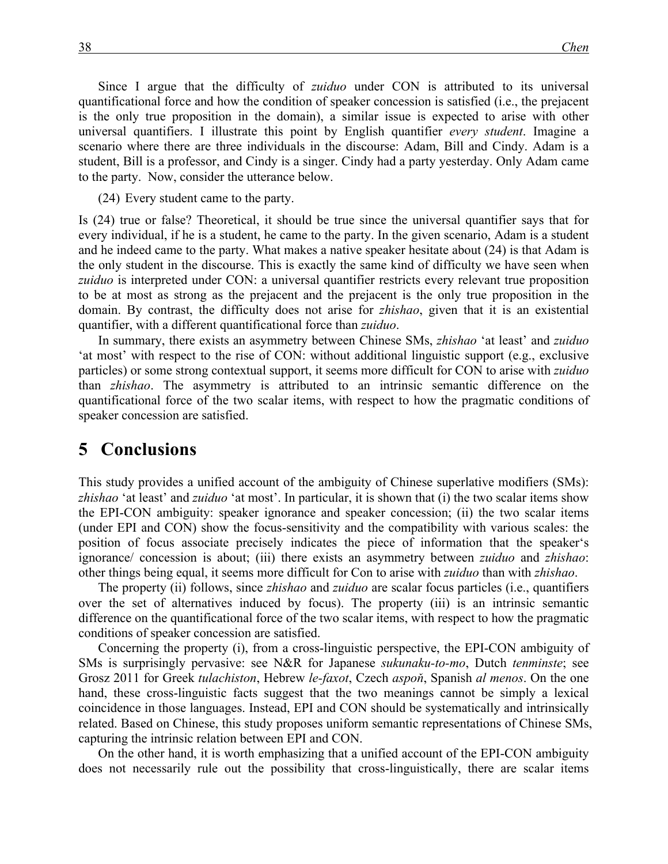Since I argue that the difficulty of *zuiduo* under CON is attributed to its universal quantificational force and how the condition of speaker concession is satisfied (i.e., the prejacent is the only true proposition in the domain), a similar issue is expected to arise with other universal quantifiers. I illustrate this point by English quantifier *every student*. Imagine a scenario where there are three individuals in the discourse: Adam, Bill and Cindy. Adam is a student, Bill is a professor, and Cindy is a singer. Cindy had a party yesterday. Only Adam came to the party. Now, consider the utterance below.

(24) Every student came to the party.

Is (24) true or false? Theoretical, it should be true since the universal quantifier says that for every individual, if he is a student, he came to the party. In the given scenario, Adam is a student and he indeed came to the party. What makes a native speaker hesitate about (24) is that Adam is the only student in the discourse. This is exactly the same kind of difficulty we have seen when *zuiduo* is interpreted under CON: a universal quantifier restricts every relevant true proposition to be at most as strong as the prejacent and the prejacent is the only true proposition in the domain. By contrast, the difficulty does not arise for *zhishao*, given that it is an existential quantifier, with a different quantificational force than *zuiduo*.

In summary, there exists an asymmetry between Chinese SMs, *zhishao* 'at least' and *zuiduo*  'at most' with respect to the rise of CON: without additional linguistic support (e.g., exclusive particles) or some strong contextual support, it seems more difficult for CON to arise with *zuiduo* than *zhishao*. The asymmetry is attributed to an intrinsic semantic difference on the quantificational force of the two scalar items, with respect to how the pragmatic conditions of speaker concession are satisfied.

#### **5** Conclusions

This study provides a unified account of the ambiguity of Chinese superlative modifiers (SMs): *zhishao* 'at least' and *zuiduo* 'at most'. In particular, it is shown that (i) the two scalar items show the EPI-CON ambiguity: speaker ignorance and speaker concession; (ii) the two scalar items (under EPI and CON) show the focus-sensitivity and the compatibility with various scales: the position of focus associate precisely indicates the piece of information that the speaker's ignorance/ concession is about; (iii) there exists an asymmetry between *zuiduo* and *zhishao*: other things being equal, it seems more difficult for Con to arise with *zuiduo* than with *zhishao*.

The property (ii) follows, since *zhishao* and *zuiduo* are scalar focus particles (i.e., quantifiers over the set of alternatives induced by focus). The property (iii) is an intrinsic semantic difference on the quantificational force of the two scalar items, with respect to how the pragmatic conditions of speaker concession are satisfied.

Concerning the property (i), from a cross-linguistic perspective, the EPI-CON ambiguity of SMs is surprisingly pervasive: see N&R for Japanese *sukunaku-to-mo*, Dutch *tenminste*; see Grosz 2011 for Greek *tulachiston*, Hebrew *le-faxot*, Czech *aspoň*, Spanish *al menos*. On the one hand, these cross-linguistic facts suggest that the two meanings cannot be simply a lexical coincidence in those languages. Instead, EPI and CON should be systematically and intrinsically related. Based on Chinese, this study proposes uniform semantic representations of Chinese SMs, capturing the intrinsic relation between EPI and CON.

On the other hand, it is worth emphasizing that a unified account of the EPI-CON ambiguity does not necessarily rule out the possibility that cross-linguistically, there are scalar items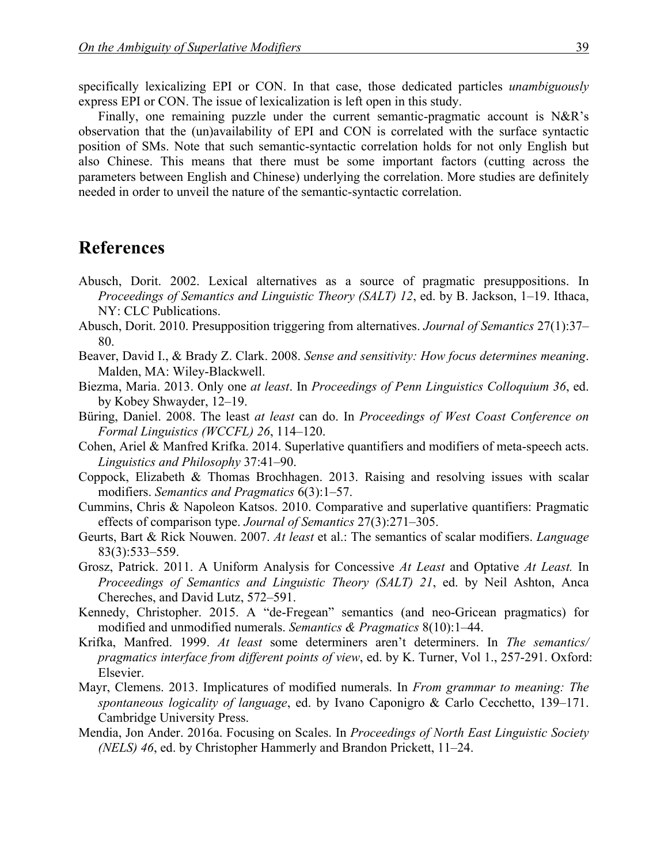specifically lexicalizing EPI or CON. In that case, those dedicated particles *unambiguously* express EPI or CON. The issue of lexicalization is left open in this study.

Finally, one remaining puzzle under the current semantic-pragmatic account is N&R's observation that the (un)availability of EPI and CON is correlated with the surface syntactic position of SMs. Note that such semantic-syntactic correlation holds for not only English but also Chinese. This means that there must be some important factors (cutting across the parameters between English and Chinese) underlying the correlation. More studies are definitely needed in order to unveil the nature of the semantic-syntactic correlation.

# **References**

- Abusch, Dorit. 2002. Lexical alternatives as a source of pragmatic presuppositions. In *Proceedings of Semantics and Linguistic Theory (SALT) 12*, ed. by B. Jackson, 1–19. Ithaca, NY: CLC Publications.
- Abusch, Dorit. 2010. Presupposition triggering from alternatives. *Journal of Semantics* 27(1):37– 80.
- Beaver, David I., & Brady Z. Clark. 2008. *Sense and sensitivity: How focus determines meaning*. Malden, MA: Wiley-Blackwell.
- Biezma, Maria. 2013. Only one *at least*. In *Proceedings of Penn Linguistics Colloquium 36*, ed. by Kobey Shwayder, 12–19.
- Büring, Daniel. 2008. The least *at least* can do. In *Proceedings of West Coast Conference on Formal Linguistics (WCCFL) 26*, 114–120.
- Cohen, Ariel & Manfred Krifka. 2014. Superlative quantifiers and modifiers of meta-speech acts. *Linguistics and Philosophy* 37:41–90.
- Coppock, Elizabeth & Thomas Brochhagen. 2013. Raising and resolving issues with scalar modifiers. *Semantics and Pragmatics* 6(3):1–57.
- Cummins, Chris & Napoleon Katsos. 2010. Comparative and superlative quantifiers: Pragmatic effects of comparison type. *Journal of Semantics* 27(3):271–305.
- Geurts, Bart & Rick Nouwen. 2007. *At least* et al.: The semantics of scalar modifiers. *Language*  83(3):533–559.
- Grosz, Patrick. 2011. A Uniform Analysis for Concessive *At Least* and Optative *At Least.* In *Proceedings of Semantics and Linguistic Theory (SALT) 21*, ed. by Neil Ashton, Anca Chereches, and David Lutz, 572–591.
- Kennedy, Christopher. 2015. A "de-Fregean" semantics (and neo-Gricean pragmatics) for modified and unmodified numerals. *Semantics & Pragmatics* 8(10):1–44.
- Krifka, Manfred. 1999. *At least* some determiners aren't determiners. In *The semantics/ pragmatics interface from different points of view*, ed. by K. Turner, Vol 1., 257-291. Oxford: Elsevier.
- Mayr, Clemens. 2013. Implicatures of modified numerals. In *From grammar to meaning: The spontaneous logicality of language*, ed. by Ivano Caponigro & Carlo Cecchetto, 139–171. Cambridge University Press.
- Mendia, Jon Ander. 2016a. Focusing on Scales. In *Proceedings of North East Linguistic Society (NELS) 46*, ed. by Christopher Hammerly and Brandon Prickett, 11–24.